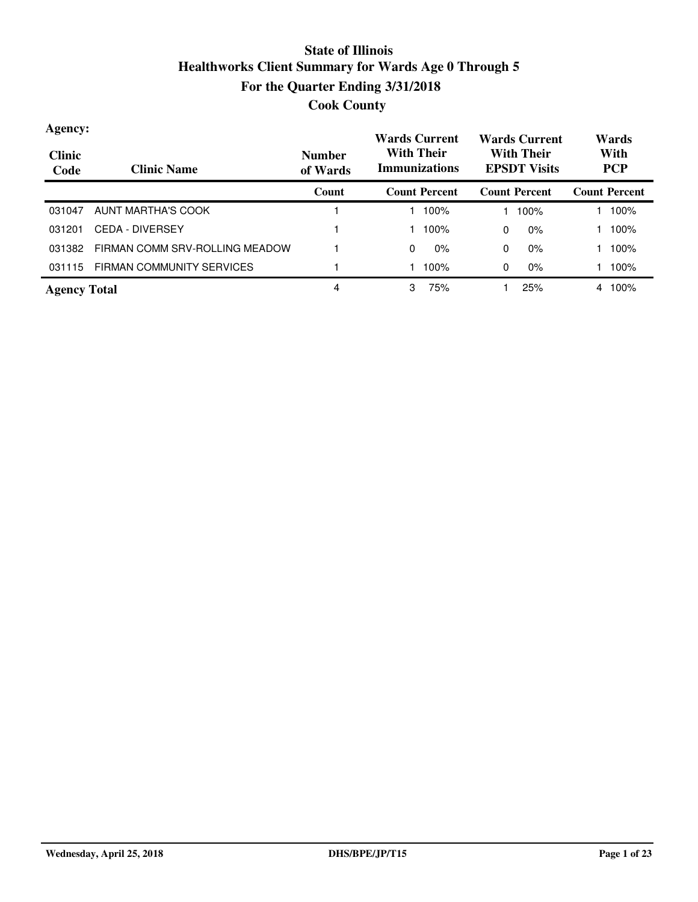| Agency:<br><b>Clinic</b><br>Code | <b>Clinic Name</b>               | <b>Number</b><br>of Wards | <b>Wards Current</b><br><b>With Their</b><br><b>Immunizations</b> |       | <b>Wards Current</b><br><b>With Their</b><br><b>EPSDT Visits</b> |                      | Wards<br>With<br><b>PCP</b> |                      |  |
|----------------------------------|----------------------------------|---------------------------|-------------------------------------------------------------------|-------|------------------------------------------------------------------|----------------------|-----------------------------|----------------------|--|
|                                  |                                  | Count                     | <b>Count Percent</b>                                              |       |                                                                  | <b>Count Percent</b> |                             | <b>Count Percent</b> |  |
| 031047                           | AUNT MARTHA'S COOK               |                           |                                                                   | 100%  |                                                                  | 100%                 |                             | 100%                 |  |
| 031201                           | <b>CEDA - DIVERSEY</b>           |                           |                                                                   | 100%  | 0                                                                | $0\%$                |                             | 100%                 |  |
| 031382                           | FIRMAN COMM SRV-ROLLING MEADOW   |                           | 0                                                                 | $0\%$ | 0                                                                | $0\%$                |                             | 100%                 |  |
| 031115                           | <b>FIRMAN COMMUNITY SERVICES</b> |                           |                                                                   | 100%  | 0                                                                | $0\%$                |                             | 100%                 |  |
| <b>Agency Total</b>              |                                  | 4                         | 3                                                                 | 75%   |                                                                  | 25%                  | 4                           | 100%                 |  |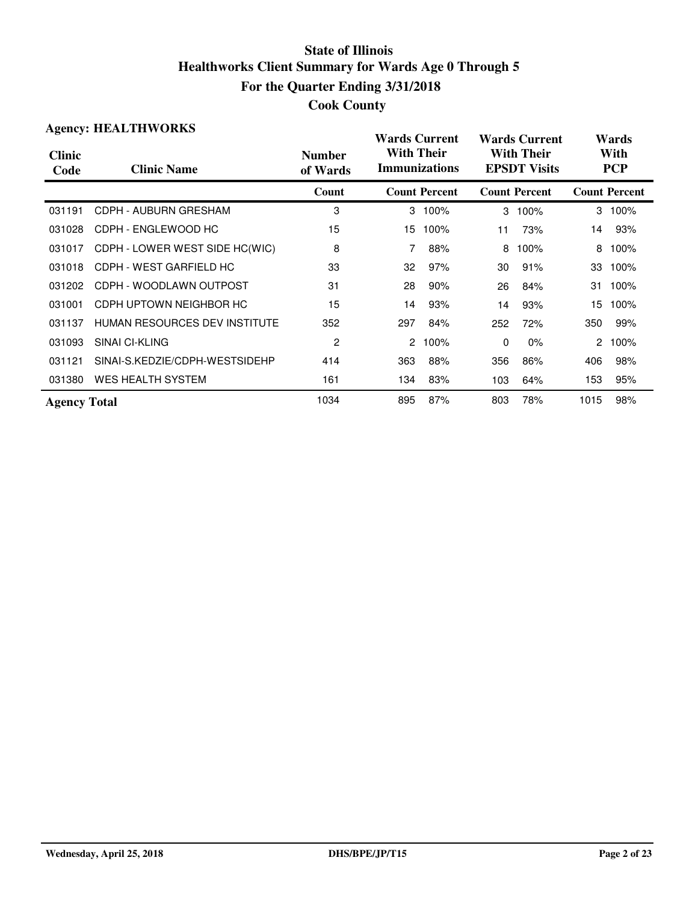| <b>Cook County</b> |
|--------------------|
|--------------------|

|                       | <b>Agency: HEALTHWORKS</b>           |                           | <b>Wards Current</b>                      |                      |                                          | <b>Wards Current</b> | Wards              |                      |  |
|-----------------------|--------------------------------------|---------------------------|-------------------------------------------|----------------------|------------------------------------------|----------------------|--------------------|----------------------|--|
| <b>Clinic</b><br>Code | <b>Clinic Name</b>                   | <b>Number</b><br>of Wards | <b>With Their</b><br><b>Immunizations</b> |                      | <b>With Their</b><br><b>EPSDT</b> Visits |                      | With<br><b>PCP</b> |                      |  |
|                       |                                      | Count                     |                                           | <b>Count Percent</b> |                                          | <b>Count Percent</b> |                    | <b>Count Percent</b> |  |
| 031191                | CDPH - AUBURN GRESHAM                | 3                         |                                           | 3 100%               | 3                                        | 100%                 |                    | 3 100%               |  |
| 031028                | CDPH - ENGLEWOOD HC                  | 15                        | 15                                        | 100%                 | 11                                       | 73%                  | 14                 | 93%                  |  |
| 031017                | CDPH - LOWER WEST SIDE HC(WIC)       | 8                         |                                           | 88%                  | 8                                        | 100%                 | 8                  | 100%                 |  |
| 031018                | CDPH - WEST GARFIELD HC              | 33                        | 32                                        | 97%                  | 30                                       | 91%                  | 33                 | 100%                 |  |
| 031202                | CDPH - WOODLAWN OUTPOST              | 31                        | 28                                        | 90%                  | 26                                       | 84%                  | 31                 | 100%                 |  |
| 031001                | CDPH UPTOWN NEIGHBOR HC              | 15                        | 14                                        | 93%                  | 14                                       | 93%                  | 15                 | 100%                 |  |
| 031137                | <b>HUMAN RESOURCES DEV INSTITUTE</b> | 352                       | 297                                       | 84%                  | 252                                      | 72%                  | 350                | 99%                  |  |
| 031093                | SINAI CI-KLING                       | 2                         | 2                                         | 100%                 | $\mathbf{0}$                             | 0%                   | $\overline{2}$     | 100%                 |  |
| 031121                | SINAI-S.KEDZIE/CDPH-WESTSIDEHP       | 414                       | 363                                       | 88%                  | 356                                      | 86%                  | 406                | 98%                  |  |
| 031380                | <b>WES HEALTH SYSTEM</b>             | 161                       | 134                                       | 83%                  | 103                                      | 64%                  | 153                | 95%                  |  |
| <b>Agency Total</b>   |                                      | 1034                      | 895                                       | 87%                  | 803                                      | 78%                  | 1015               | 98%                  |  |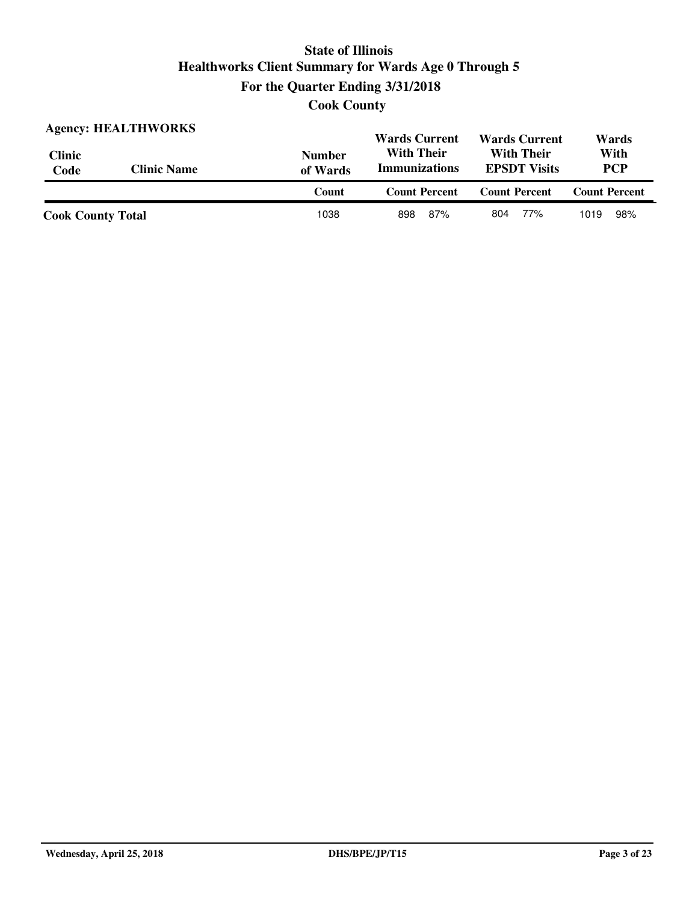**Cook County**

| <b>Agency: HEALTHWORKS</b> |                    |                           | <b>Wards Current</b>                      | <b>Wards Current</b>                     | Wards                |  |
|----------------------------|--------------------|---------------------------|-------------------------------------------|------------------------------------------|----------------------|--|
| <b>Clinic</b><br>Code      | <b>Clinic Name</b> | <b>Number</b><br>of Wards | <b>With Their</b><br><b>Immunizations</b> | <b>With Their</b><br><b>EPSDT</b> Visits | With<br><b>PCP</b>   |  |
|                            |                    | Count                     | <b>Count Percent</b>                      | <b>Count Percent</b>                     | <b>Count Percent</b> |  |
| <b>Cook County Total</b>   |                    | 1038                      | 87%<br>898                                | 77%<br>804                               | 98%<br>1019          |  |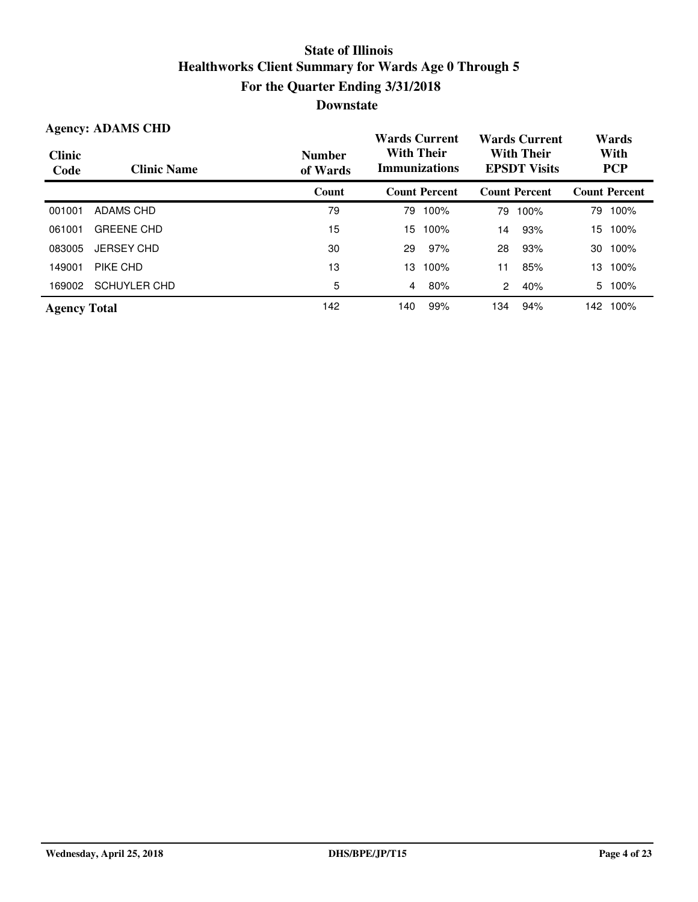| <b>Agency: ADAMS CHD</b> |                     |                           | <b>Wards Current</b>                                                                  |                      | <b>Wards Current</b> |                      | Wards |                      |
|--------------------------|---------------------|---------------------------|---------------------------------------------------------------------------------------|----------------------|----------------------|----------------------|-------|----------------------|
| <b>Clinic</b><br>Code    | <b>Clinic Name</b>  | <b>Number</b><br>of Wards | <b>With Their</b><br><b>With Their</b><br><b>Immunizations</b><br><b>EPSDT Visits</b> |                      |                      | With<br><b>PCP</b>   |       |                      |
|                          |                     | Count                     |                                                                                       | <b>Count Percent</b> |                      | <b>Count Percent</b> |       | <b>Count Percent</b> |
| 001001                   | ADAMS CHD           | 79                        | 79                                                                                    | 100%                 | 79                   | 100%                 | 79    | 100%                 |
| 061001                   | <b>GREENE CHD</b>   | 15                        | 15                                                                                    | 100%                 | 14                   | 93%                  | 15    | 100%                 |
| 083005                   | <b>JERSEY CHD</b>   | 30                        | 29                                                                                    | 97%                  | 28                   | 93%                  | 30    | 100%                 |
| 149001                   | PIKE CHD            | 13                        | 13                                                                                    | 100%                 | 11                   | 85%                  | 13    | 100%                 |
| 169002                   | <b>SCHUYLER CHD</b> | 5                         | 4                                                                                     | 80%                  | $\overline{2}$       | 40%                  | 5.    | 100%                 |
| <b>Agency Total</b>      |                     | 142                       | 140                                                                                   | 99%                  | 134                  | 94%                  | 142   | 100%                 |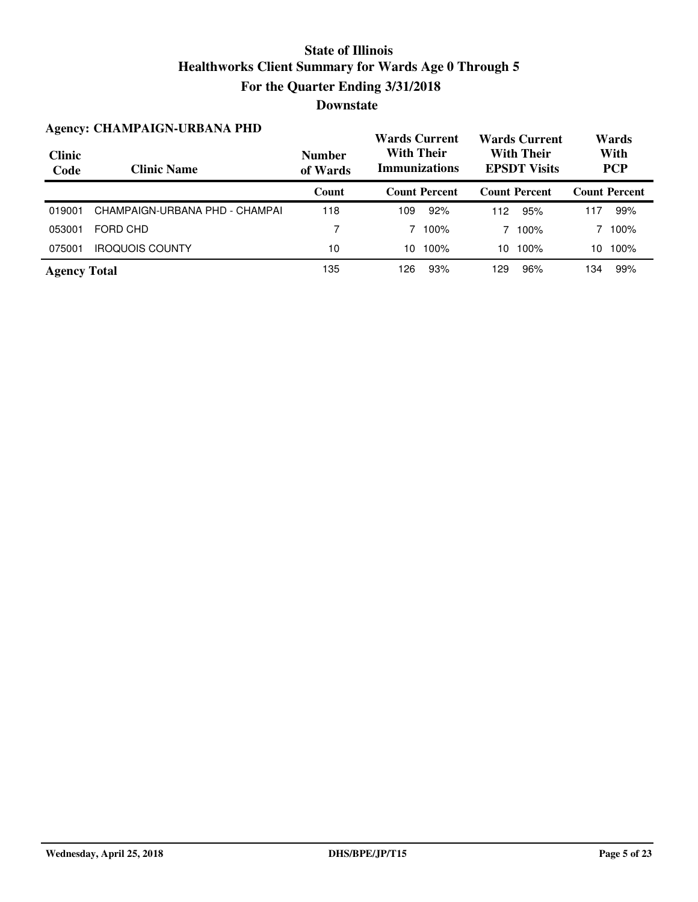|                       | <b>Agency: CHAMPAIGN-URBANA PHD</b> |                           | <b>Wards Current</b>                      |                      | <b>Wards Current</b>                     |                      | Wards              |                      |
|-----------------------|-------------------------------------|---------------------------|-------------------------------------------|----------------------|------------------------------------------|----------------------|--------------------|----------------------|
| <b>Clinic</b><br>Code | <b>Clinic Name</b>                  | <b>Number</b><br>of Wards | <b>With Their</b><br><b>Immunizations</b> |                      | <b>With Their</b><br><b>EPSDT</b> Visits |                      | With<br><b>PCP</b> |                      |
|                       |                                     | Count                     |                                           | <b>Count Percent</b> |                                          | <b>Count Percent</b> |                    | <b>Count Percent</b> |
| 019001                | CHAMPAIGN-URBANA PHD - CHAMPAI      | 118                       | 109                                       | 92%                  | 112                                      | 95%                  | 117                | 99%                  |
| 053001                | FORD CHD                            | 7                         |                                           | 100%                 |                                          | 100%                 |                    | 100%                 |
| 075001                | <b>IROQUOIS COUNTY</b>              | 10                        | 10                                        | 100%                 | 10                                       | 100%                 | 10                 | 100%                 |
| <b>Agency Total</b>   |                                     | 135                       | 126                                       | 93%                  | 129                                      | 96%                  | 134                | 99%                  |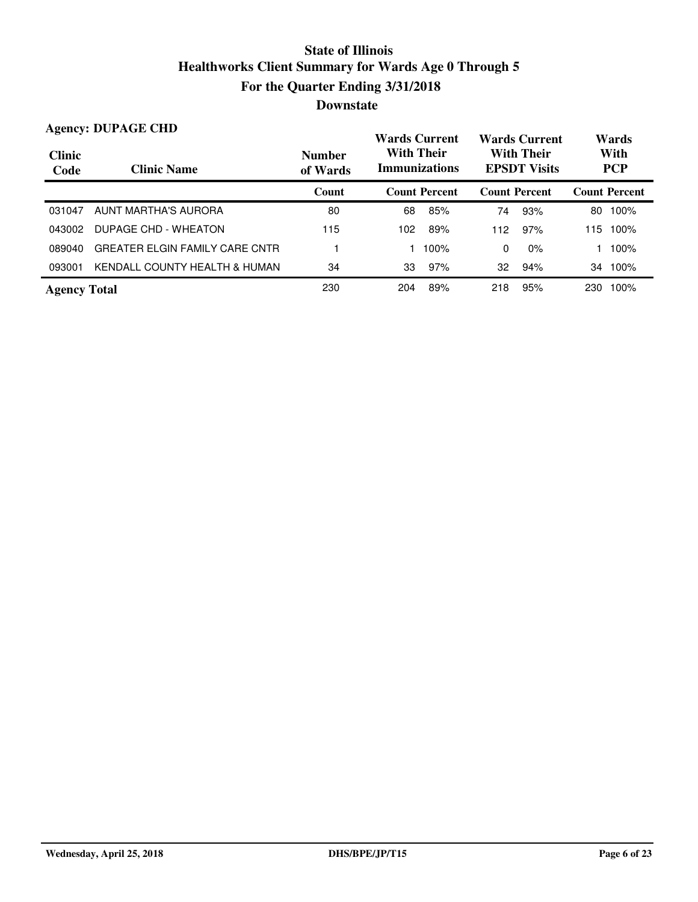#### **Wards Current With Their Immunizations Wards Current With Their EPSDT Visits Clinic Code Clinic Name Number of Wards Count Count Percent Count Percent Count Percent Agency: DUPAGE CHD Wards With PCP** 031047 AUNT MARTHA'S AURORA 80 68 85% 74 93% 80 100% 043002 DUPAGE CHD - WHEATON 115 115 100 102 89% 112 97% 115 100% 089040 GREATER ELGIN FAMILY CARE CNTR 1 100% 1 100% 0 0% 1 100% 093001 KENDALL COUNTY HEALTH & HUMAN 34 33 97% 32 94% 34 100% **Agency Total** 230 204 89% 218 95% 230 100%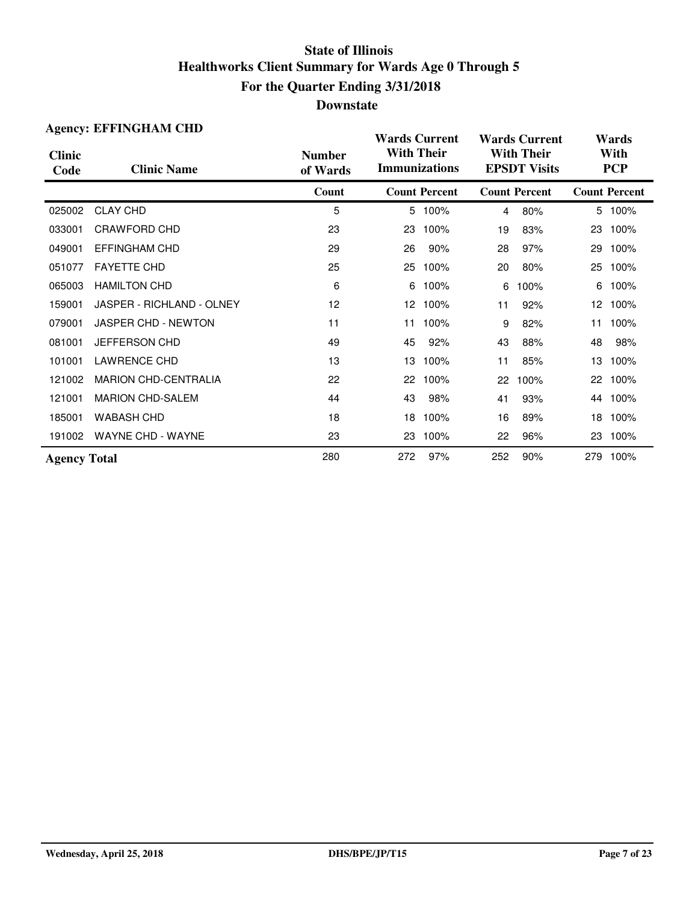|                       | <b>Agency: EFFINGHAM CHD</b> |                           | <b>Wards Current</b>                      |                      | <b>Wards Current</b>                     |                      | Wards              |                      |
|-----------------------|------------------------------|---------------------------|-------------------------------------------|----------------------|------------------------------------------|----------------------|--------------------|----------------------|
| <b>Clinic</b><br>Code | <b>Clinic Name</b>           | <b>Number</b><br>of Wards | <b>With Their</b><br><b>Immunizations</b> |                      | <b>With Their</b><br><b>EPSDT Visits</b> |                      | With<br><b>PCP</b> |                      |
|                       |                              | Count                     |                                           | <b>Count Percent</b> |                                          | <b>Count Percent</b> |                    | <b>Count Percent</b> |
| 025002                | <b>CLAY CHD</b>              | 5                         |                                           | 5 100%               | $\overline{4}$                           | 80%                  |                    | 5 100%               |
| 033001                | CRAWFORD CHD                 | 23                        | 23                                        | 100%                 | 19                                       | 83%                  | 23                 | 100%                 |
| 049001                | <b>EFFINGHAM CHD</b>         | 29                        | 26                                        | 90%                  | 28                                       | 97%                  | 29                 | 100%                 |
| 051077                | <b>FAYETTE CHD</b>           | 25                        | 25                                        | 100%                 | 20                                       | 80%                  | 25                 | 100%                 |
| 065003                | <b>HAMILTON CHD</b>          | 6                         | 6                                         | 100%                 | 6                                        | 100%                 | 6                  | 100%                 |
| 159001                | JASPER - RICHLAND - OLNEY    | 12                        | 12 <sup>2</sup>                           | 100%                 | 11                                       | 92%                  | 12 <sup>2</sup>    | 100%                 |
| 079001                | JASPER CHD - NEWTON          | 11                        | 11                                        | 100%                 | 9                                        | 82%                  | 11                 | 100%                 |
| 081001                | JEFFERSON CHD                | 49                        | 45                                        | 92%                  | 43                                       | 88%                  | 48                 | 98%                  |
| 101001                | <b>LAWRENCE CHD</b>          | 13                        | 13                                        | 100%                 | 11                                       | 85%                  | 13                 | 100%                 |
| 121002                | <b>MARION CHD-CENTRALIA</b>  | 22                        | 22                                        | 100%                 | 22                                       | 100%                 | 22                 | 100%                 |
| 121001                | <b>MARION CHD-SALEM</b>      | 44                        | 43                                        | 98%                  | 41                                       | 93%                  |                    | 44 100%              |
| 185001                | <b>WABASH CHD</b>            | 18                        | 18                                        | 100%                 | 16                                       | 89%                  | 18                 | 100%                 |
| 191002                | <b>WAYNE CHD - WAYNE</b>     | 23                        | 23                                        | 100%                 | 22                                       | 96%                  | 23                 | 100%                 |
| <b>Agency Total</b>   |                              | 280                       | 272                                       | 97%                  | 252                                      | 90%                  |                    | 279 100%             |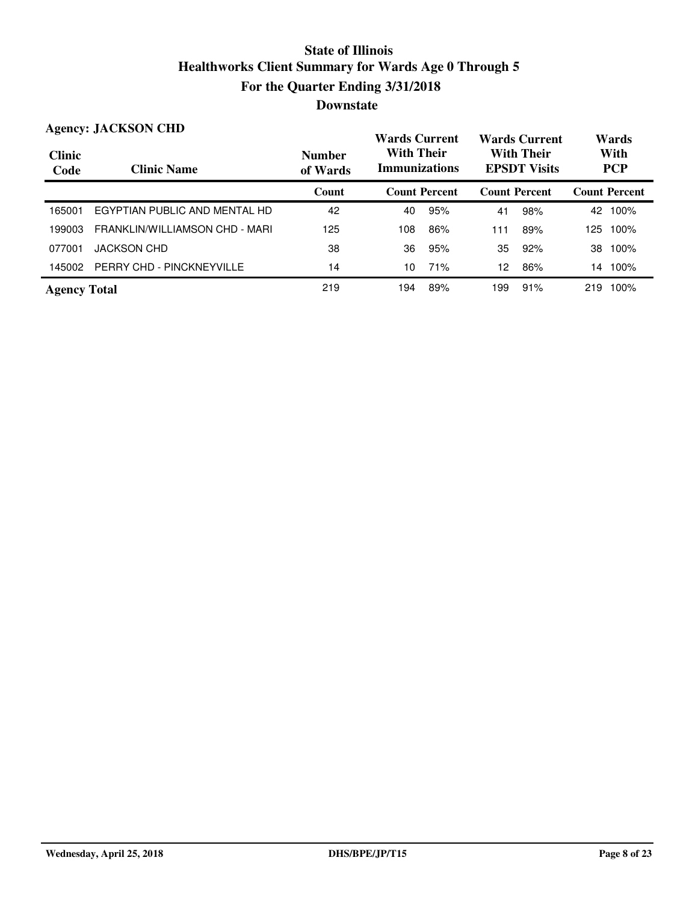#### **Wards Current With Their Immunizations Wards Current With Their EPSDT Visits Clinic Code Clinic Name Number of Wards Count Count Percent Count Percent Count Percent Agency: JACKSON CHD Wards With PCP** 165001 EGYPTIAN PUBLIC AND MENTAL HD 42 40 95% 41 98% 42 100% 199003 FRANKLIN/WILLIAMSON CHD - MARI 125 108 108 86% 111 89% 125 100% 077001 JACKSON CHD 38 36 95% 35 92% 38 100% 145002 PERRY CHD - PINCKNEYVILLE 14 100 11% 10 16 12 86% 14 100% **Agency Total** 219 194 89% 199 91% 219 100%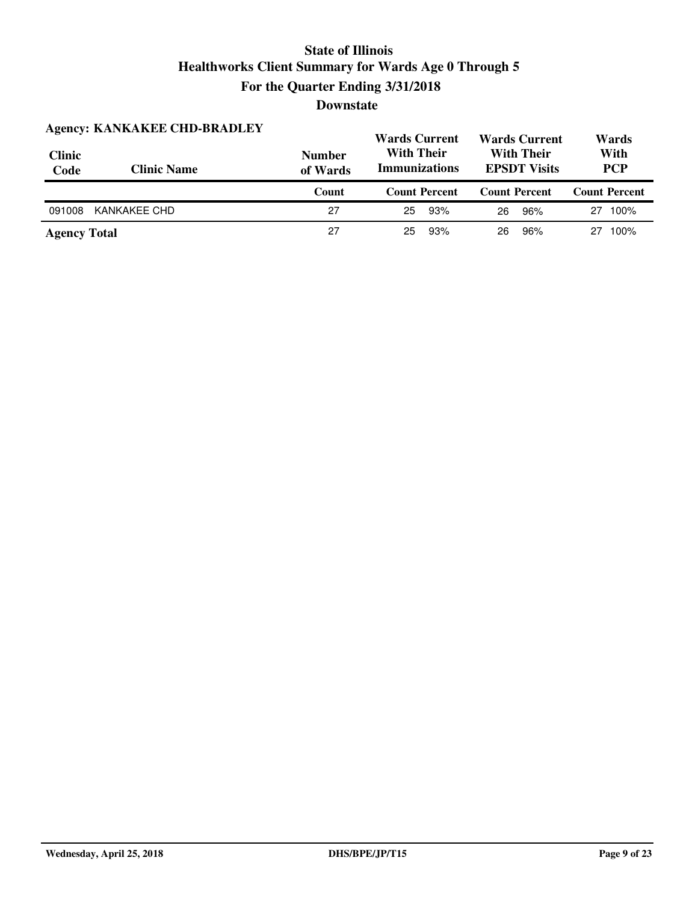| <b>Agency: KANKAKEE CHD-BRADLEY</b> |                    | <b>Wards Current</b>      |                                                                                       | <b>Wards Current</b> | Wards                |  |
|-------------------------------------|--------------------|---------------------------|---------------------------------------------------------------------------------------|----------------------|----------------------|--|
| <b>Clinic</b><br>Code               | <b>Clinic Name</b> | <b>Number</b><br>of Wards | <b>With Their</b><br><b>With Their</b><br><b>Immunizations</b><br><b>EPSDT Visits</b> |                      | With<br><b>PCP</b>   |  |
|                                     |                    |                           |                                                                                       |                      |                      |  |
|                                     |                    | Count                     | <b>Count Percent</b>                                                                  | <b>Count Percent</b> | <b>Count Percent</b> |  |
| 091008                              | KANKAKEE CHD       | 27                        | 93%<br>25                                                                             | 96%<br>26            | 100%<br>27           |  |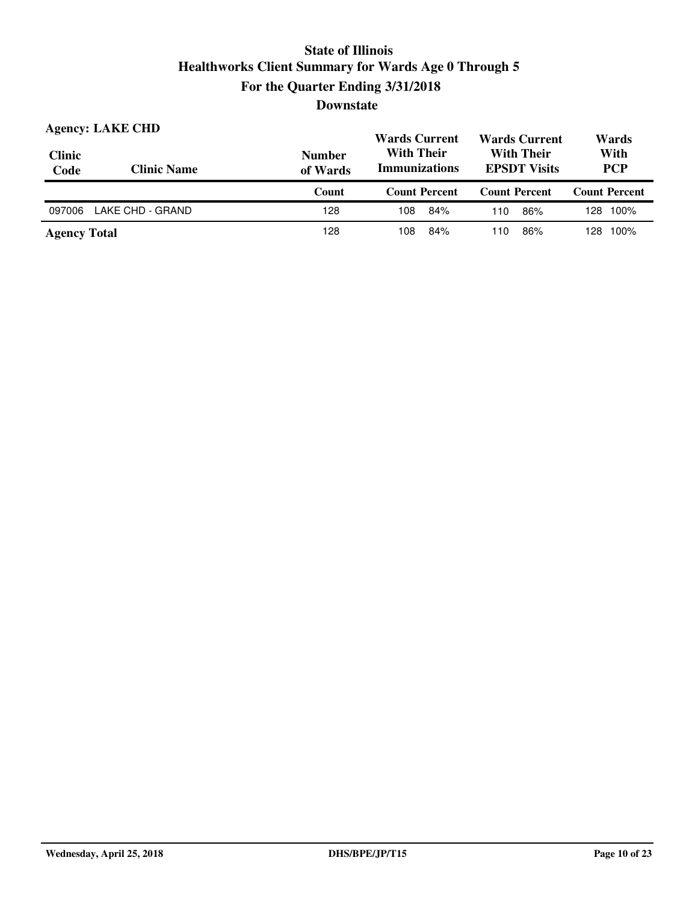| <b>Clinic</b><br>Code | <b>Agency: LAKE CHD</b><br><b>Clinic Name</b> | <b>Number</b><br>of Wards | <b>Wards Current</b><br><b>With Their</b><br><b>Immunizations</b> | <b>Wards Current</b><br><b>With Their</b><br><b>EPSDT Visits</b> | Wards<br>With<br><b>PCP</b> |  |
|-----------------------|-----------------------------------------------|---------------------------|-------------------------------------------------------------------|------------------------------------------------------------------|-----------------------------|--|
|                       |                                               | Count                     | <b>Count Percent</b>                                              | <b>Count Percent</b>                                             | <b>Count Percent</b>        |  |
| 097006                | LAKE CHD - GRAND                              | 128                       | 84%<br>108                                                        | 86%<br>110                                                       | 128 100%                    |  |
|                       |                                               |                           |                                                                   |                                                                  |                             |  |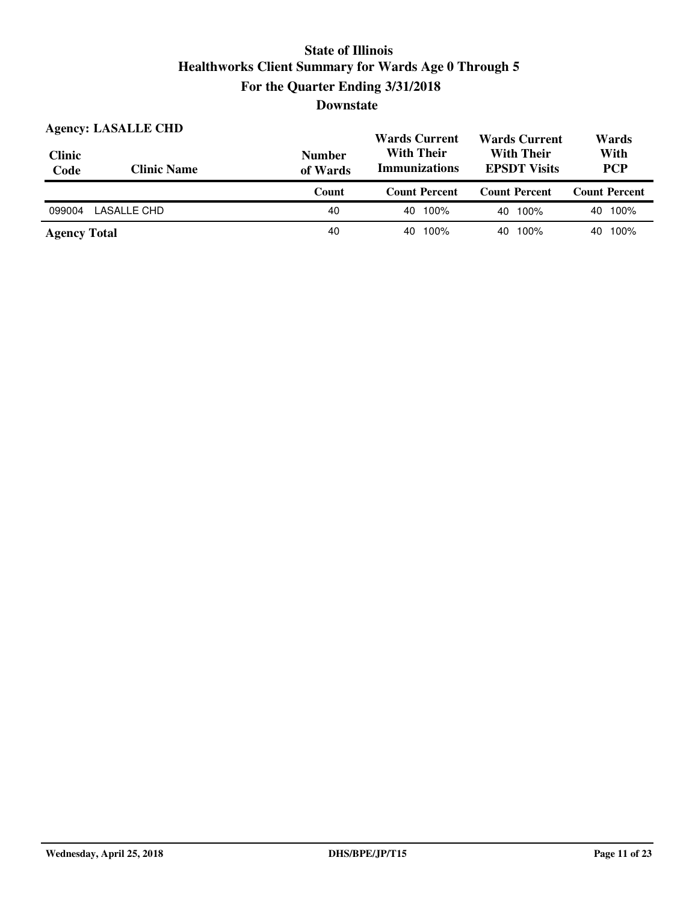| <b>Clinic</b><br>Code | <b>Agency: LASALLE CHD</b><br><b>Clinic Name</b> | <b>Number</b><br>of Wards | <b>Wards Current</b><br><b>With Their</b><br><b>Immunizations</b> | <b>Wards Current</b><br><b>With Their</b><br><b>EPSDT Visits</b> | Wards<br>With<br><b>PCP</b> |  |
|-----------------------|--------------------------------------------------|---------------------------|-------------------------------------------------------------------|------------------------------------------------------------------|-----------------------------|--|
|                       |                                                  |                           |                                                                   |                                                                  |                             |  |
|                       |                                                  | Count                     | <b>Count Percent</b>                                              | <b>Count Percent</b>                                             | <b>Count Percent</b>        |  |
| 099004                | LASALLE CHD                                      | 40                        | 100%<br>40                                                        | 40 100%                                                          | 100%<br>40                  |  |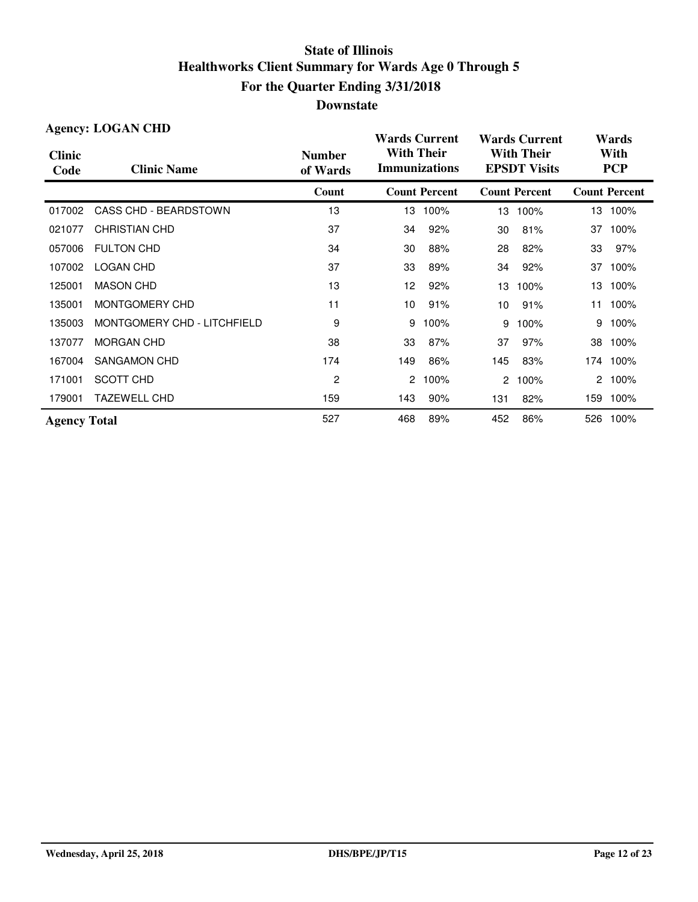|                       | <b>Agency: LOGAN CHD</b>    |                           | <b>Wards Current</b>                      |                      | <b>Wards Current</b>                     |                      | Wards              |                      |
|-----------------------|-----------------------------|---------------------------|-------------------------------------------|----------------------|------------------------------------------|----------------------|--------------------|----------------------|
| <b>Clinic</b><br>Code | <b>Clinic Name</b>          | <b>Number</b><br>of Wards | <b>With Their</b><br><b>Immunizations</b> |                      | <b>With Their</b><br><b>EPSDT Visits</b> |                      | With<br><b>PCP</b> |                      |
|                       |                             | Count                     |                                           | <b>Count Percent</b> |                                          | <b>Count Percent</b> |                    | <b>Count Percent</b> |
| 017002                | CASS CHD - BEARDSTOWN       | 13                        | 13                                        | 100%                 | 13                                       | 100%                 |                    | 13 100%              |
| 021077                | <b>CHRISTIAN CHD</b>        | 37                        | 34                                        | 92%                  | 30                                       | 81%                  | 37                 | 100%                 |
| 057006                | <b>FULTON CHD</b>           | 34                        | 30                                        | 88%                  | 28                                       | 82%                  | 33                 | 97%                  |
| 107002                | <b>LOGAN CHD</b>            | 37                        | 33                                        | 89%                  | 34                                       | 92%                  | 37                 | 100%                 |
| 125001                | <b>MASON CHD</b>            | 13                        | 12                                        | 92%                  | 13                                       | 100%                 | 13                 | 100%                 |
| 135001                | MONTGOMERY CHD              | 11                        | 10                                        | 91%                  | 10                                       | 91%                  | 11                 | 100%                 |
| 135003                | MONTGOMERY CHD - LITCHFIELD | 9                         | 9                                         | 100%                 | 9                                        | 100%                 | 9                  | 100%                 |
| 137077                | <b>MORGAN CHD</b>           | 38                        | 33                                        | 87%                  | 37                                       | 97%                  | 38                 | 100%                 |
| 167004                | <b>SANGAMON CHD</b>         | 174                       | 149                                       | 86%                  | 145                                      | 83%                  | 174                | 100%                 |
| 171001                | SCOTT CHD                   | 2                         | $\overline{2}$                            | 100%                 | $\mathbf{2}^{\circ}$                     | 100%                 |                    | 2 100%               |
| 179001                | <b>TAZEWELL CHD</b>         | 159                       | 143                                       | 90%                  | 131                                      | 82%                  |                    | 159 100%             |
| <b>Agency Total</b>   |                             | 527                       | 468                                       | 89%                  | 452                                      | 86%                  |                    | 526 100%             |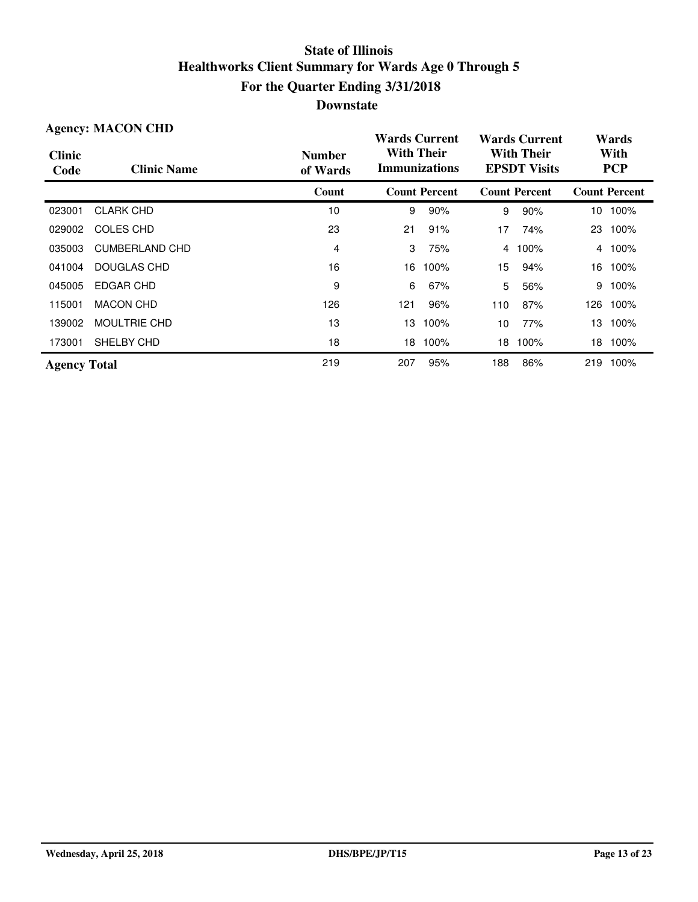| <b>Agency: MACON CHD</b> |                       |                           | <b>Wards Current</b>                      |                      | <b>Wards Current</b>                     |                      | Wards              |                      |
|--------------------------|-----------------------|---------------------------|-------------------------------------------|----------------------|------------------------------------------|----------------------|--------------------|----------------------|
| <b>Clinic</b><br>Code    | <b>Clinic Name</b>    | <b>Number</b><br>of Wards | <b>With Their</b><br><b>Immunizations</b> |                      | <b>With Their</b><br><b>EPSDT Visits</b> |                      | With<br><b>PCP</b> |                      |
|                          |                       | Count                     |                                           | <b>Count Percent</b> |                                          | <b>Count Percent</b> |                    | <b>Count Percent</b> |
| 023001                   | <b>CLARK CHD</b>      | 10                        | 9                                         | 90%                  | 9                                        | 90%                  |                    | 10 100%              |
| 029002                   | COLES CHD             | 23                        | 21                                        | 91%                  | 17                                       | 74%                  | 23                 | 100%                 |
| 035003                   | <b>CUMBERLAND CHD</b> | 4                         | 3                                         | 75%                  | 4                                        | 100%                 | 4                  | 100%                 |
| 041004                   | DOUGLAS CHD           | 16                        | 16                                        | 100%                 | 15                                       | 94%                  | 16                 | 100%                 |
| 045005                   | EDGAR CHD             | 9                         | 6                                         | 67%                  | 5                                        | 56%                  | 9                  | 100%                 |
| 115001                   | <b>MACON CHD</b>      | 126                       | 121                                       | 96%                  | 110                                      | 87%                  | 126                | 100%                 |
| 139002                   | <b>MOULTRIE CHD</b>   | 13                        | 13                                        | 100%                 | 10                                       | 77%                  | 13                 | 100%                 |
| 173001                   | SHELBY CHD            | 18                        | 18                                        | 100%                 | 18                                       | 100%                 | 18                 | 100%                 |
| <b>Agency Total</b>      |                       | 219                       | 207                                       | 95%                  | 188                                      | 86%                  | 219                | 100%                 |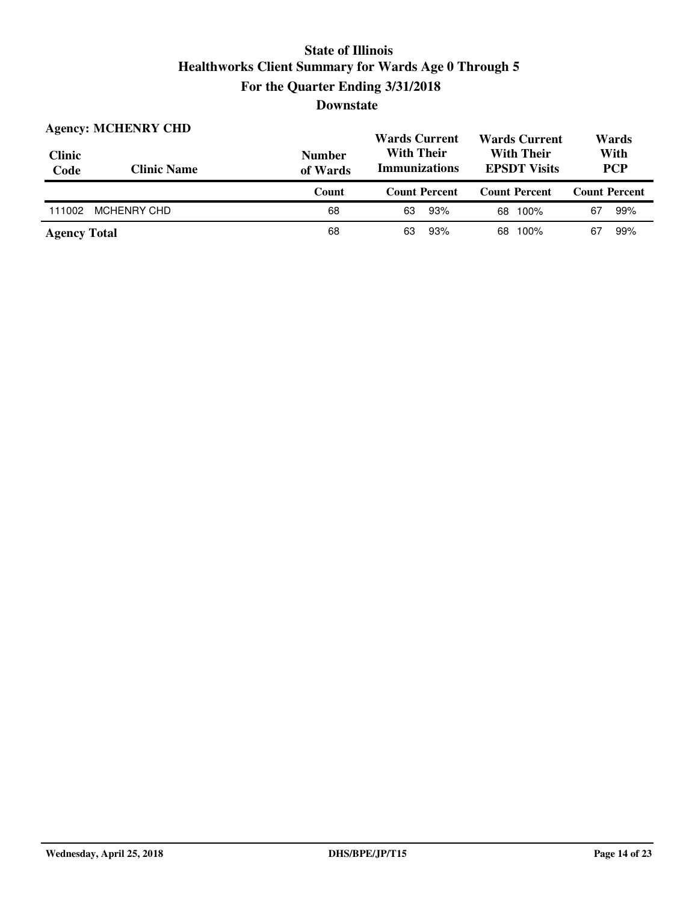| <b>Clinic</b><br>Code | <b>Agency: MCHENRY CHD</b><br><b>Clinic Name</b> | <b>Number</b><br>of Wards | <b>Wards Current</b><br><b>With Their</b><br><b>Immunizations</b> | <b>Wards Current</b><br><b>With Their</b><br><b>EPSDT Visits</b> | Wards<br>With<br><b>PCP</b> |
|-----------------------|--------------------------------------------------|---------------------------|-------------------------------------------------------------------|------------------------------------------------------------------|-----------------------------|
|                       |                                                  | Count                     | <b>Count Percent</b>                                              | <b>Count Percent</b>                                             | <b>Count Percent</b>        |
| 111002                | <b>MCHENRY CHD</b>                               | 68                        | 93%<br>63                                                         | 100%<br>68                                                       | 67<br>99%                   |
| <b>Agency Total</b>   |                                                  | 68                        | 93%<br>63                                                         | 100%<br>68                                                       | 99%<br>67                   |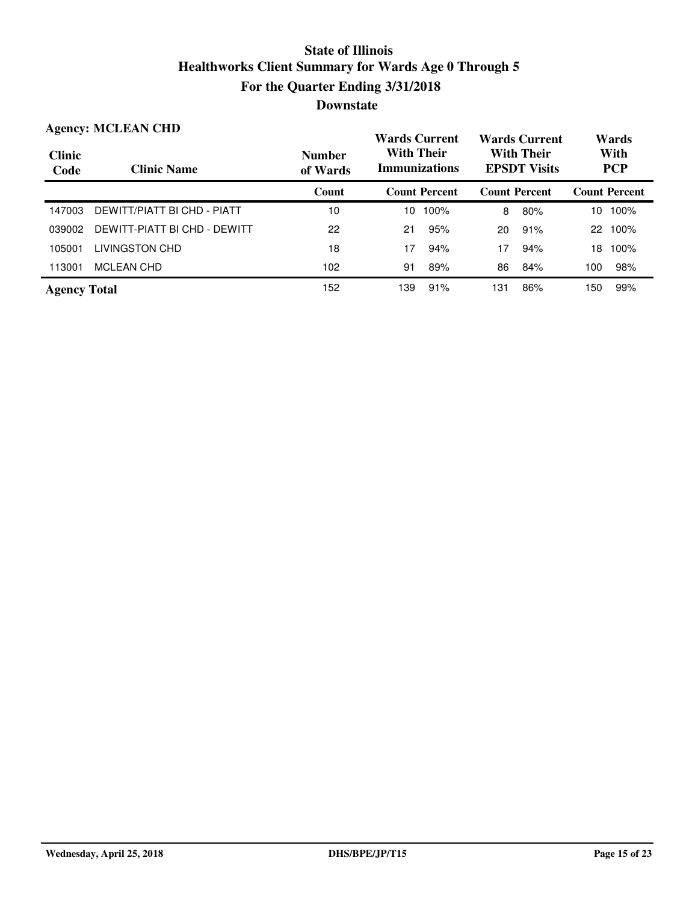|                       | <b>Agency: MCLEAN CHD</b>    |                           | <b>Wards Current</b>                      | <b>Wards Current</b>                     | Wards                |  |
|-----------------------|------------------------------|---------------------------|-------------------------------------------|------------------------------------------|----------------------|--|
| <b>Clinic</b><br>Code | <b>Clinic Name</b>           | <b>Number</b><br>of Wards | <b>With Their</b><br><b>Immunizations</b> | <b>With Their</b><br><b>EPSDT Visits</b> | With<br><b>PCP</b>   |  |
|                       |                              | Count                     | <b>Count Percent</b>                      | <b>Count Percent</b>                     | <b>Count Percent</b> |  |
| 147003                | DEWITT/PIATT BI CHD - PIATT  | 10                        | 100%<br>10                                | 80%<br>8                                 | 100%<br>10           |  |
| 039002                | DEWITT-PIATT BI CHD - DEWITT | 22                        | 95%<br>21                                 | 91%<br>20                                | 100%<br>22           |  |
| 105001                | LIVINGSTON CHD               | 18                        | 17<br>94%                                 | 17<br>94%                                | 100%<br>18           |  |
| 113001                | MCLEAN CHD                   | 102                       | 89%<br>91                                 | 84%<br>86                                | 98%<br>100           |  |
| <b>Agency Total</b>   |                              | 152                       | 91%<br>139                                | 86%<br>131                               | 99%<br>150           |  |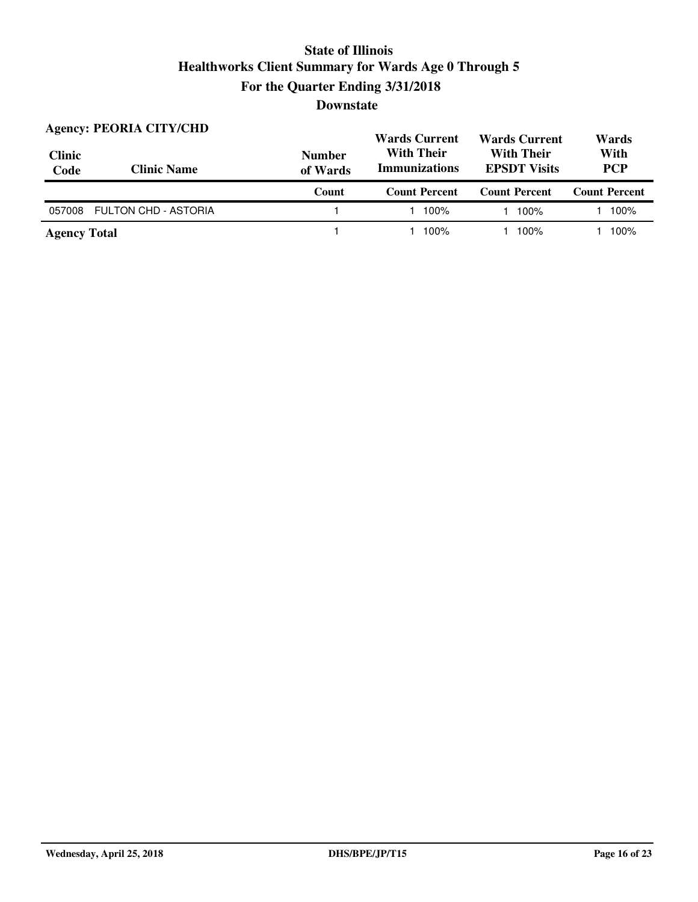| <b>Clinic</b><br>Code | <b>Agency: PEORIA CITY/CHD</b><br><b>Clinic Name</b> | <b>Number</b><br>of Wards |                      | <b>Wards Current</b><br><b>With Their</b><br><b>EPSDT Visits</b> | Wards<br>With<br><b>PCP</b> |  |
|-----------------------|------------------------------------------------------|---------------------------|----------------------|------------------------------------------------------------------|-----------------------------|--|
|                       |                                                      | Count                     | <b>Count Percent</b> | <b>Count Percent</b>                                             | <b>Count Percent</b>        |  |
| 057008                | <b>FULTON CHD - ASTORIA</b>                          |                           | 100%                 | 100%                                                             | 100%                        |  |
| <b>Agency Total</b>   |                                                      |                           | 100%                 | 100%                                                             | 100%                        |  |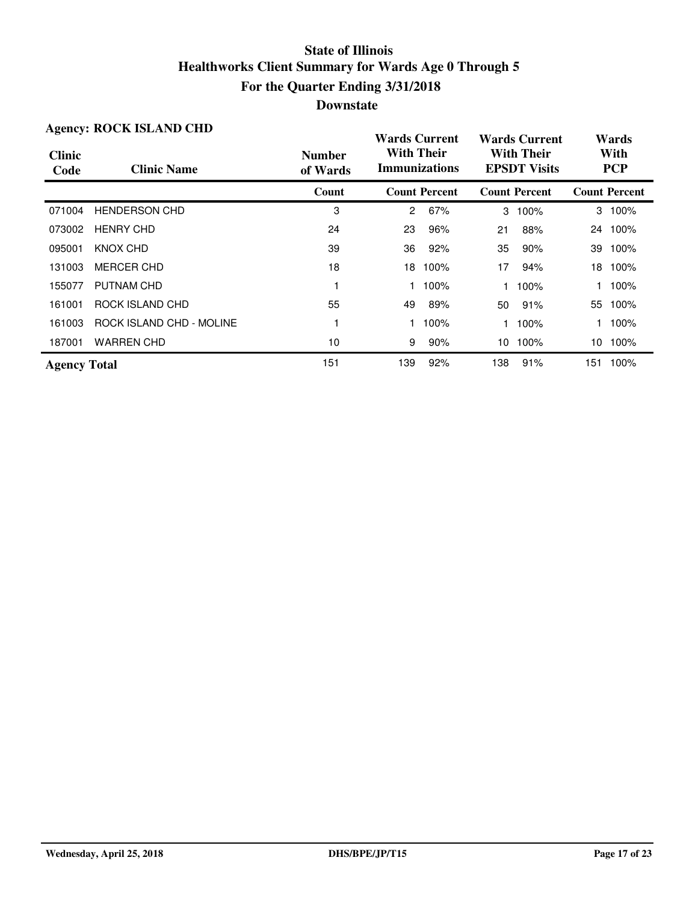| <b>Agency: ROCK ISLAND CHD</b> |                          |                           | <b>Wards Current</b>                      |                      | <b>Wards Current</b>                     |                      | Wards |                      |
|--------------------------------|--------------------------|---------------------------|-------------------------------------------|----------------------|------------------------------------------|----------------------|-------|----------------------|
| <b>Clinic</b><br>Code          | <b>Clinic Name</b>       | <b>Number</b><br>of Wards | <b>With Their</b><br><b>Immunizations</b> |                      | <b>With Their</b><br><b>EPSDT Visits</b> |                      |       | With<br><b>PCP</b>   |
|                                |                          | Count                     |                                           | <b>Count Percent</b> |                                          | <b>Count Percent</b> |       | <b>Count Percent</b> |
| 071004                         | <b>HENDERSON CHD</b>     | 3                         | $\overline{2}$                            | 67%                  | 3                                        | 100%                 |       | 3 100%               |
| 073002                         | <b>HENRY CHD</b>         | 24                        | 23                                        | 96%                  | 21                                       | 88%                  |       | 24 100%              |
| 095001                         | KNOX CHD                 | 39                        | 36                                        | 92%                  | 35                                       | 90%                  | 39    | 100%                 |
| 131003                         | <b>MERCER CHD</b>        | 18                        | 18                                        | 100%                 | 17                                       | 94%                  | 18    | 100%                 |
| 155077                         | PUTNAM CHD               |                           |                                           | 100%                 |                                          | 100%                 |       | 100%                 |
| 161001                         | ROCK ISLAND CHD          | 55                        | 49                                        | 89%                  | 50                                       | 91%                  | 55    | 100%                 |
| 161003                         | ROCK ISLAND CHD - MOLINE |                           |                                           | 100%                 |                                          | 100%                 |       | 100%                 |
| 187001                         | <b>WARREN CHD</b>        | 10                        | 9                                         | 90%                  | 10                                       | 100%                 | 10    | 100%                 |
| <b>Agency Total</b>            |                          | 151                       | 139                                       | 92%                  | 138                                      | 91%                  | 151   | 100%                 |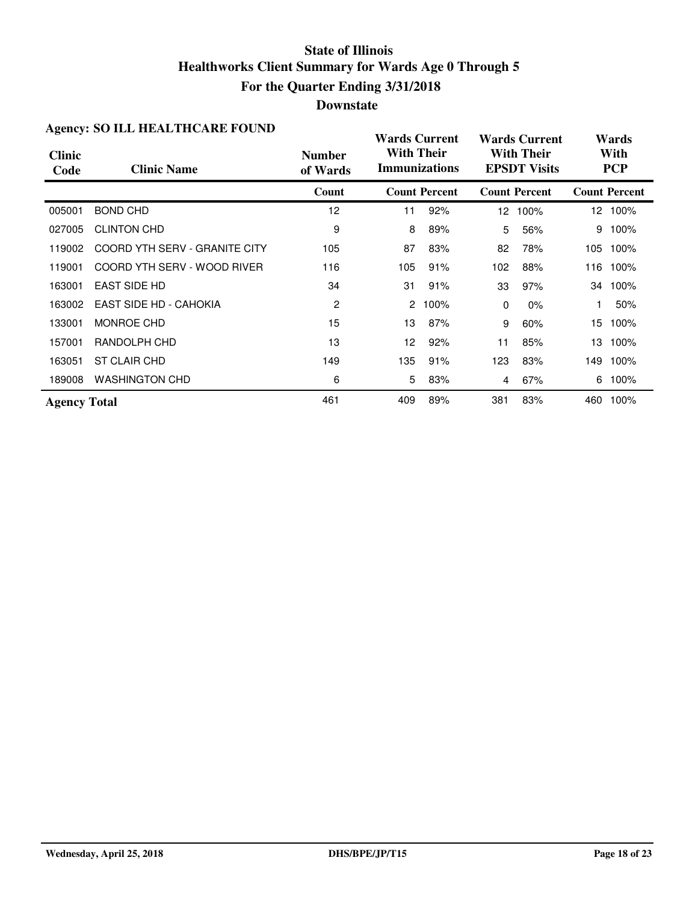| <b>Agency: SO ILL HEALTHCARE FOUND</b> |                               |                           | <b>Wards Current</b>                      |                      | <b>Wards Current</b>                     |                      | Wards |                      |
|----------------------------------------|-------------------------------|---------------------------|-------------------------------------------|----------------------|------------------------------------------|----------------------|-------|----------------------|
| <b>Clinic</b><br>Code                  | <b>Clinic Name</b>            | <b>Number</b><br>of Wards | <b>With Their</b><br><b>Immunizations</b> |                      | <b>With Their</b><br><b>EPSDT Visits</b> |                      |       | With<br><b>PCP</b>   |
|                                        |                               | Count                     |                                           | <b>Count Percent</b> |                                          | <b>Count Percent</b> |       | <b>Count Percent</b> |
| 005001                                 | <b>BOND CHD</b>               | 12                        | 11                                        | 92%                  | 12 <sup>2</sup>                          | 100%                 |       | 12 100%              |
| 027005                                 | <b>CLINTON CHD</b>            | 9                         | 8                                         | 89%                  | 5                                        | 56%                  | 9     | 100%                 |
| 119002                                 | COORD YTH SERV - GRANITE CITY | 105                       | 87                                        | 83%                  | 82                                       | 78%                  | 105   | 100%                 |
| 119001                                 | COORD YTH SERV - WOOD RIVER   | 116                       | 105                                       | 91%                  | 102                                      | 88%                  | 116   | 100%                 |
| 163001                                 | <b>EAST SIDE HD</b>           | 34                        | 31                                        | 91%                  | 33                                       | 97%                  | 34    | 100%                 |
| 163002                                 | EAST SIDE HD - CAHOKIA        | 2                         | 2                                         | 100%                 | $\Omega$                                 | $0\%$                |       | 50%                  |
| 133001                                 | <b>MONROE CHD</b>             | 15                        | 13                                        | 87%                  | 9                                        | 60%                  | 15    | 100%                 |
| 157001                                 | RANDOLPH CHD                  | 13                        | 12                                        | 92%                  | 11                                       | 85%                  | 13.   | 100%                 |
| 163051                                 | ST CLAIR CHD                  | 149                       | 135                                       | 91%                  | 123                                      | 83%                  | 149   | 100%                 |
| 189008                                 | <b>WASHINGTON CHD</b>         | 6                         | 5                                         | 83%                  | 4                                        | 67%                  | 6     | 100%                 |
| <b>Agency Total</b>                    |                               | 461                       | 409                                       | 89%                  | 381                                      | 83%                  | 460   | 100%                 |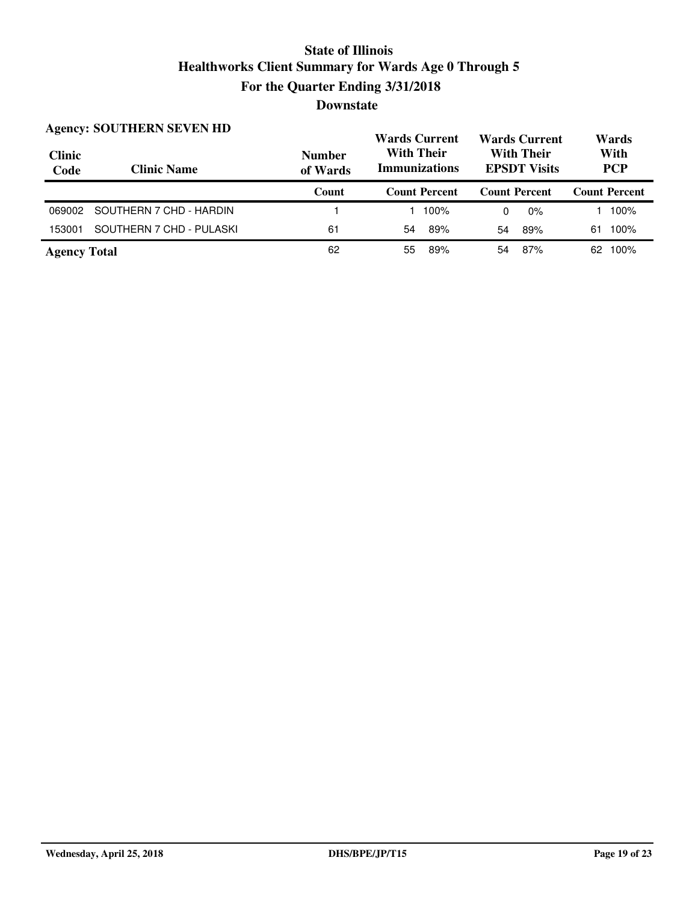| <b>Clinic</b><br>Code | <b>Agency: SOUTHERN SEVEN HD</b><br><b>Clinic Name</b> | <b>Number</b><br>of Wards | <b>Wards Current</b><br><b>With Their</b><br><b>Immunizations</b> | <b>Wards Current</b><br><b>With Their</b><br><b>EPSDT Visits</b> | Wards<br>With<br><b>PCP</b> |
|-----------------------|--------------------------------------------------------|---------------------------|-------------------------------------------------------------------|------------------------------------------------------------------|-----------------------------|
|                       |                                                        | Count                     | <b>Count Percent</b>                                              | <b>Count Percent</b>                                             | <b>Count Percent</b>        |
| 069002                | SOUTHERN 7 CHD - HARDIN                                |                           | 100%                                                              | $0\%$<br>0                                                       | 100%                        |
| 153001                | SOUTHERN 7 CHD - PULASKI                               | 61                        | -89%<br>54                                                        | 89%<br>54                                                        | 100%<br>61                  |
| <b>Agency Total</b>   |                                                        | 62                        | 89%<br>55                                                         | 87%<br>54                                                        | 100%<br>62                  |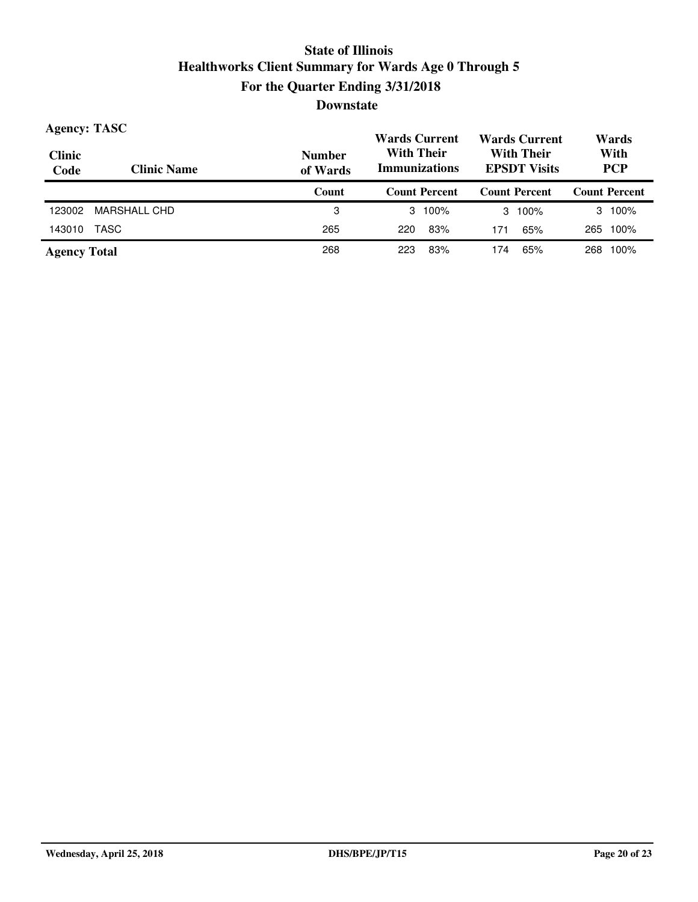| <b>Agency: TASC</b>   |                    |                           | <b>Wards Current</b>                      | <b>Wards Current</b>                     | Wards                |
|-----------------------|--------------------|---------------------------|-------------------------------------------|------------------------------------------|----------------------|
| <b>Clinic</b><br>Code | <b>Clinic Name</b> | <b>Number</b><br>of Wards | <b>With Their</b><br><b>Immunizations</b> | <b>With Their</b><br><b>EPSDT Visits</b> | With<br><b>PCP</b>   |
|                       |                    | Count                     | <b>Count Percent</b>                      | <b>Count Percent</b>                     | <b>Count Percent</b> |
| 123002                | MARSHALL CHD       | 3                         | $3 \t100\%$                               | 100%<br>3                                | 100%<br>3            |
| 143010                | TASC               | 265                       | 83%<br>220                                | 65%<br>171                               | 100%<br>265          |
| <b>Agency Total</b>   |                    | 268                       | 83%<br>223                                | 65%<br>174                               | 100%<br>268          |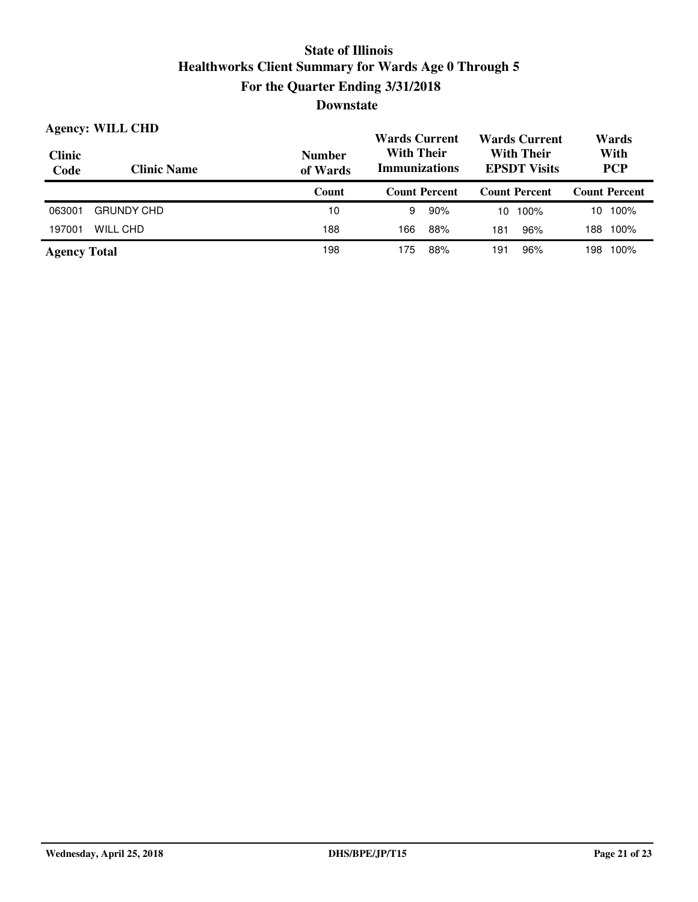| <b>Agency: WILL CHD</b> |                    |                           | <b>Wards Current</b>                      | <b>Wards Current</b>                     | Wards                |  |
|-------------------------|--------------------|---------------------------|-------------------------------------------|------------------------------------------|----------------------|--|
| <b>Clinic</b><br>Code   | <b>Clinic Name</b> | <b>Number</b><br>of Wards | <b>With Their</b><br><b>Immunizations</b> | <b>With Their</b><br><b>EPSDT Visits</b> | With<br><b>PCP</b>   |  |
|                         |                    | Count                     | <b>Count Percent</b>                      | <b>Count Percent</b>                     | <b>Count Percent</b> |  |
| 063001                  | <b>GRUNDY CHD</b>  | 10                        | 9<br>90%                                  | 100%<br>10                               | 100%<br>10           |  |
| 197001                  | WILL CHD           | 188                       | 88%<br>166                                | 96%<br>181                               | 100%<br>188          |  |
| <b>Agency Total</b>     |                    | 198                       | 88%<br>175                                | 96%<br>191                               | 100%<br>198          |  |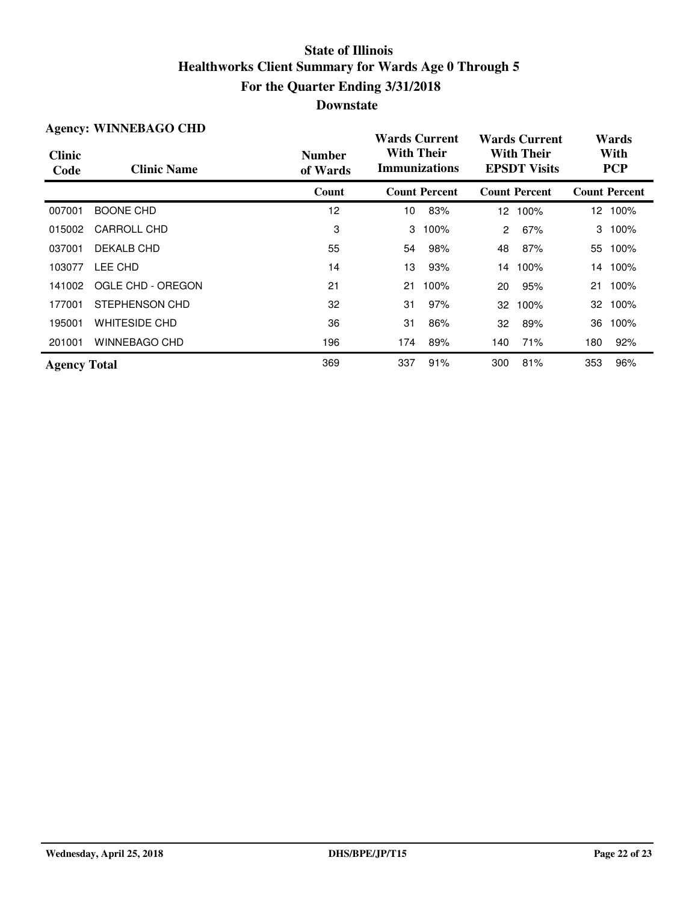| <b>Agency: WINNEBAGO CHD</b> |                      |                           | <b>Wards Current</b>                      |                      | <b>Wards Current</b>                     |                      | Wards |                      |
|------------------------------|----------------------|---------------------------|-------------------------------------------|----------------------|------------------------------------------|----------------------|-------|----------------------|
| <b>Clinic</b><br>Code        | <b>Clinic Name</b>   | <b>Number</b><br>of Wards | <b>With Their</b><br><b>Immunizations</b> |                      | <b>With Their</b><br><b>EPSDT</b> Visits |                      |       | With<br><b>PCP</b>   |
|                              |                      | Count                     |                                           | <b>Count Percent</b> |                                          | <b>Count Percent</b> |       | <b>Count Percent</b> |
| 007001                       | <b>BOONE CHD</b>     | 12                        | 10                                        | 83%                  |                                          | 12 100%              |       | 12 100%              |
| 015002                       | <b>CARROLL CHD</b>   | 3                         | 3                                         | 100%                 | $\overline{2}$                           | 67%                  | 3     | 100%                 |
| 037001                       | DEKALB CHD           | 55                        | 54                                        | 98%                  | 48                                       | 87%                  | 55    | 100%                 |
| 103077                       | LEE CHD              | 14                        | 13                                        | 93%                  | 14                                       | 100%                 | 14    | 100%                 |
| 141002                       | OGLE CHD - OREGON    | 21                        | 21                                        | 100%                 | 20                                       | 95%                  | 21    | 100%                 |
| 177001                       | STEPHENSON CHD       | 32                        | 31                                        | 97%                  | 32                                       | 100%                 | 32    | 100%                 |
| 195001                       | <b>WHITESIDE CHD</b> | 36                        | 31                                        | 86%                  | 32                                       | 89%                  | 36    | 100%                 |
| 201001                       | <b>WINNEBAGO CHD</b> | 196                       | 174                                       | 89%                  | 140                                      | 71%                  | 180   | 92%                  |
| <b>Agency Total</b>          |                      | 369                       | 337                                       | 91%                  | 300                                      | 81%                  | 353   | 96%                  |